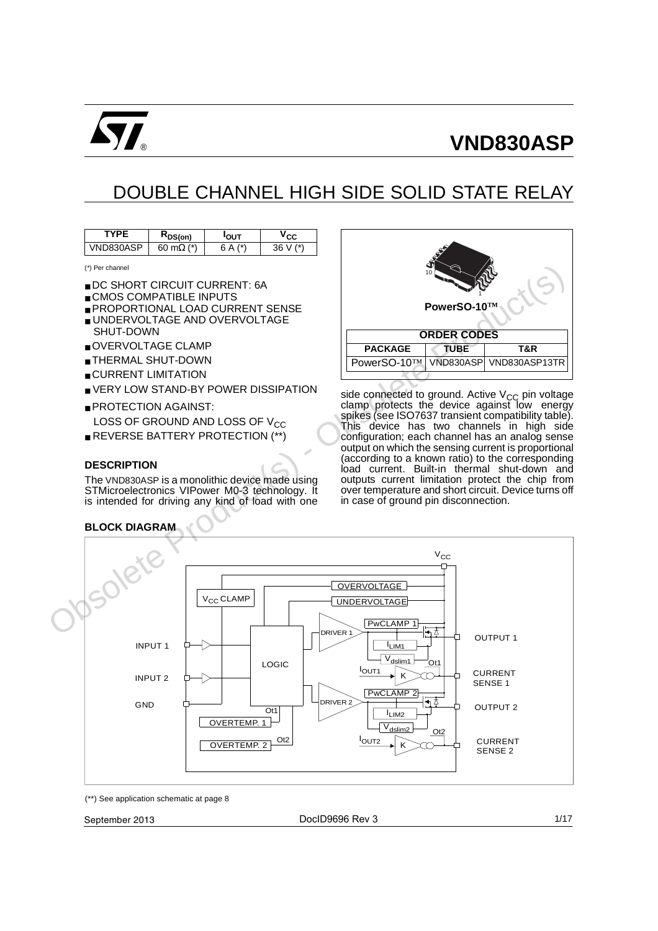

# DOUBLE CHANNEL HIGH SIDE SOLID STATE RELAY

| $\sim$ S(on) |     | - سامہ         |
|--------------|-----|----------------|
| (x)          | (x) | 4 <sup>2</sup> |

(\*) Per channel

- DC SHORT CIRCUIT CURRENT: 6A
- CMOS COMPATIBLE INPUTS
- PROPORTIONAL LOAD CURRENT SENSE
- UNDERVOLTAGE AND OVERVOLTAGE SHUT-DOWN
- OVERVOLTAGE CLAMP
- THERMAL SHUT-DOWN
- CURRENT LIMITATION
- VERY LOW STAND-BY POWER DISSIPATION
- PROTECTION AGAINST: LOSS OF GROUND AND LOSS OF  $V_{CC}$
- REVERSE BATTERY PROTECTION (\*\*)

#### **DESCRIPTION**

The VND830ASP is a monolithic device made using STMicroelectronics VIPower M0-3 technology. It is intended for driving any kind of load with one

#### **BLOCK DIAGRAM**



side connected to ground. Active V<sub>CC</sub> pin voltage<br>clamp protects the device against low energy spikes (see ISO7637 transient compatibility table). This device has two channels in high side configuration; each channel has an analog sense output on which the sensing current is proportional (according to a known ratio) to the corresponding load current. Built-in thermal shut-down and outputs current limitation protect the chip from over temperature and short circuit. Device turns off in case of ground pin disconnection.



(\*\*) See application schematic at page 8

September 2013 1/17 DocID9696 Rev 3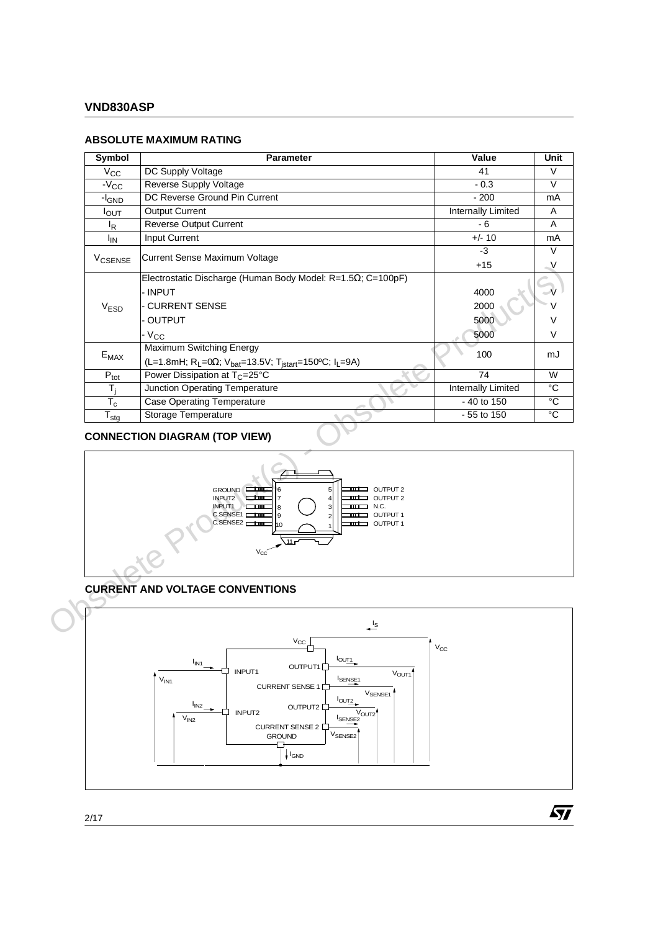#### **ABSOLUTE MAXIMUM RATING**

| <b>Symbol</b>       | Parameter                                                                                                                                                                                                                                                                          | Value                        | Unit                   |
|---------------------|------------------------------------------------------------------------------------------------------------------------------------------------------------------------------------------------------------------------------------------------------------------------------------|------------------------------|------------------------|
| $V_{CC}$            | DC Supply Voltage                                                                                                                                                                                                                                                                  | 41                           | V                      |
| $-VCC$              | Reverse Supply Voltage                                                                                                                                                                                                                                                             | $-0.3$                       | V                      |
| -I <sub>GND</sub>   | DC Reverse Ground Pin Current                                                                                                                                                                                                                                                      | $-200$                       | mA                     |
| $I_{OUT}$           | <b>Output Current</b>                                                                                                                                                                                                                                                              | <b>Internally Limited</b>    | Α                      |
| $I_R$               | <b>Reverse Output Current</b>                                                                                                                                                                                                                                                      | $-6$                         | A                      |
| <sup>I</sup> IN     | Input Current                                                                                                                                                                                                                                                                      | $+/- 10$                     | mA                     |
| V <sub>CSENSE</sub> | Current Sense Maximum Voltage                                                                                                                                                                                                                                                      | $-3$<br>$+15$                | $\overline{\vee}$<br>V |
| V <sub>ESD</sub>    | Electrostatic Discharge (Human Body Model: R=1.52; C=100pF)<br>- INPUT<br>- CURRENT SENSE<br>OUTPUT<br>$-V_{CC}$                                                                                                                                                                   | 4000<br>2000<br>5000<br>5000 | $\vee$<br>$\mathsf{V}$ |
|                     | <b>Maximum Switching Energy</b>                                                                                                                                                                                                                                                    |                              |                        |
| $E_{MAX}$           | (L=1.8mH; R <sub>L</sub> =0Ω; V <sub>bat</sub> =13.5V; T <sub>jstart</sub> =150°C; I <sub>L</sub> =9A)                                                                                                                                                                             | 100                          | mJ                     |
| $P_{\text{tot}}$    | Power Dissipation at T <sub>C</sub> =25°C                                                                                                                                                                                                                                          | $\overline{74}$              | $\overline{W}$         |
| $T_i$               | Junction Operating Temperature                                                                                                                                                                                                                                                     | <b>Internally Limited</b>    | $^{\circ}C$            |
| $T_c$               | <b>Case Operating Temperature</b>                                                                                                                                                                                                                                                  | $-40$ to 150                 | $\overline{\text{c}}$  |
| $T_{\text{stg}}$    | Storage Temperature                                                                                                                                                                                                                                                                | - 55 to 150                  | $^{\circ}C$            |
|                     | <b>CONNECTION DIAGRAM (TOP VIEW)</b><br><b>ILL OUTPUT 2</b><br>GROUND <sup>EH</sup><br>INPUT2<br>$\frac{1}{2}$ OUTPUT 2<br><b>m</b><br>$\overline{7}$<br>INPUT1<br>$m$ M.C.<br><b>m</b><br>3<br>C.SENSE1<br>OUTPUT 1<br>C.SENSE2 $\Box$<br><b>THE OUTPUT 1</b><br>.11r<br>$V_{CC}$ |                              |                        |
|                     | <b>CURRENT AND VOLTAGE CONVENTIONS</b><br>$\frac{1}{s}$                                                                                                                                                                                                                            |                              |                        |
|                     | $V_{CC}$<br>$I_{\text{OUT1}}$<br>I <sub>IN1</sub><br>OI ITPI IT1                                                                                                                                                                                                                   | $V_{CC}$                     |                        |

# **CONNECTION DIAGRAM (TOP VIEW)**



# **CURRENT AND VOLTAGE CONVENTIONS**



 $\sqrt{27}$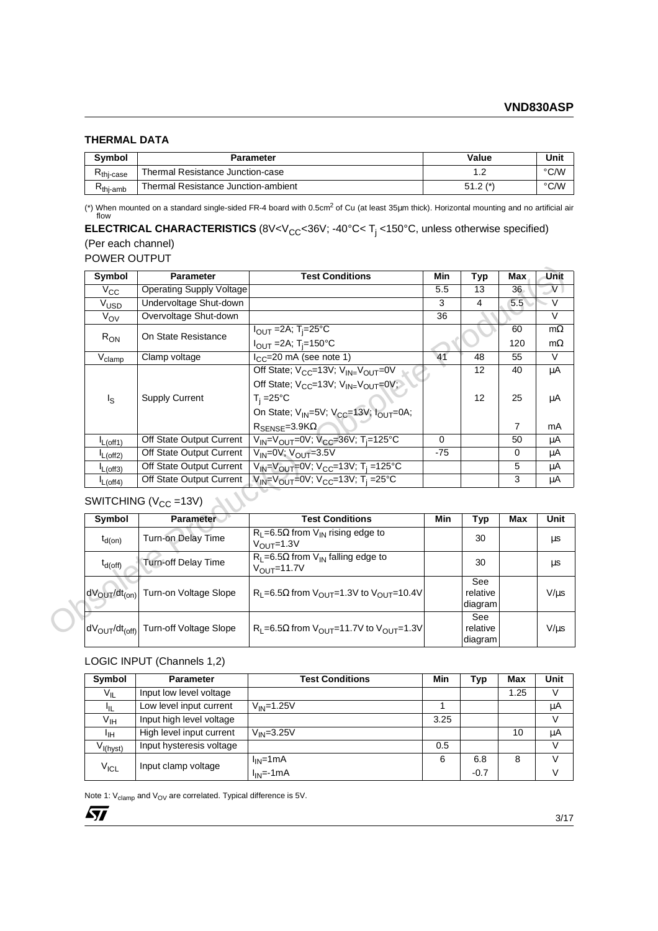#### **THERMAL DATA**

| <b>Symbol</b>                                | <b>Parameter</b>                    | Value      | Unit |
|----------------------------------------------|-------------------------------------|------------|------|
| $\mathsf{\Gamma}_{\mathsf{thi}\text{-case}}$ | Thermal Resistance Junction-case    |            | °C/W |
| $\mathsf{\tau}_{\mathsf{thi\text{-}}amb}$    | Thermal Resistance Junction-ambient | $51.2$ (*) | °C/W |

(\*) When mounted on a standard single-sided FR-4 board with 0.5cm2 of Cu (at least 35µm thick). Horizontal mounting and no artificial air flow

## **ELECTRICAL CHARACTERISTICS** (8V<V<sub>CC</sub><36V; -40°C< T<sub>j</sub> <150°C, unless otherwise specified) (Per each channel) POWER OUTPUT

#### **Symbol Parameter Test Conditions Min Typ Max Unit**  $V_{\text{CC}}$  Operating Supply Voltage 5.5 13 36 V<br>V<sub>LISD</sub> Undervoltage Shut-down 3 4 5.5 V V<sub>USD</sub> Undervoltage Shut-down 3 4 5.5 V<sub>OV</sub> Overvoltage Shut-down 36 V  $R_{ON}$  | On State Resistance I<sub>OUT</sub> =2A; T<sub>j</sub>=25°C I<sub>OUT</sub> =2A; T<sub>j</sub>=150°C 60 120 mΩ mΩ  $V_{\text{clamp}}$  Clamp voltage  $I_{\text{CC}}=20 \text{ mA}$  (see note 1) 41 48 55 V  $I_{\rm S}$ Supply Current Off State;  $V_{CC}$ =13V;  $V_{IN} = V_{OUT}$ =0V Off State;  $V_{CC}$ =13V;  $V_{IN} = V_{OUT}$ =0V; T<sub>j</sub> =25°C On State;  $V_{IN}$ =5V;  $V_{CC}$ =13V;  $I_{OUT}$ =0A;  $R$ <sub>SENSE</sub>=3.9KΩ 12 12 40 25 7  $\overline{\mu A}$ µA mA  $\mathsf{I}_{\mathsf{L}(\mathsf{off1})}$   $\mid$  Off State Output Current  $\mid\mathsf{V}_{\mathsf{IN}}=\mathsf{V}_{\mathsf{OUT}}=0\mathsf{V};$   $\mathsf{V}_{\mathsf{CC}}=36\mathsf{V};$   $\mathsf{T}_{\mathsf{j}}=125^{\circ}\mathsf{C}$   $\mid$  0  $\mid$  50  $\mid$   $\mu\mathsf{A}$  $\frac{1_{L(\text{off2})}}{1_{L(\text{off3})}}$  Off State Output Current  $\frac{V_{IN}=0 V; V_{OUT}=3.5 V}{V_{IN}=V_{OUT}=0 V; V_{CC}=13V; T_i=125°C}$  -75 0 µA  $\mathsf{I}_{\mathsf{L}(\mathsf{off3})}$   $\mid$  Off State Output Current  $\mid$  V<sub>IN</sub>=V<sub>OUT</sub>=0V; V<sub>CC</sub>=13V; T<sub>j</sub> =125°C  $\mid$   $\mid$   $\mid$  5  $\mid$   $\mid$  µA  $\mathsf{I}_{\mathsf{L}(\mathsf{off4})}$   $\mid$  Off State Output Current  $\mid$   $\mathsf{V}_{\mathsf{IN}}$ = $\mathsf{V}_{\mathsf{OUT}}$ =0V;  $\mathsf{V}_{\mathsf{CC}}$ =13V; T $_\mathsf{j}$  =25°C  $\mid$   $\mid$   $\mid$  3  $\mid$  μA Symbol Parameter<br>
V<sub>Obs</sub>olete Productions Tost Conditions Min Typ Max, Unit<br>
V<sub>Obsol</sub>e Obsolete Production<br>
V<sub>Obsol</sub>e Once to the Resistance Productions<br>
Review Once Resistance Productions<br>
Review On State Resistance Prod

# SWITCHING ( $V_{CC}$  =13V)

| Symbol               | <b>Parameter</b>                                              | <b>Test Conditions</b>                                                     | Min | Typ                                      | Max | Unit       |
|----------------------|---------------------------------------------------------------|----------------------------------------------------------------------------|-----|------------------------------------------|-----|------------|
| $t_{d(on)}$          | Turn-on Delay Time                                            | $R_1 = 6.5\Omega$ from $V_{1N}$ rising edge to<br>$V_{\text{OUT}}$ =1.3V   |     | 30                                       |     | μs         |
| $t_{d(off)}$         | <b>Turn-off Delay Time</b>                                    | $R_1 = 6.5\Omega$ from $V_{IN}$ falling edge to<br>$V_{\text{OUT}}$ =11.7V |     | 30                                       |     | μs         |
| $dV_{OUT}/dt_{(on)}$ | Turn-on Voltage Slope                                         | $R_1 = 6.5\Omega$ from $V_{\Omega IIT} = 1.3V$ to $V_{\Omega IIT} = 10.4V$ |     | See<br>relative<br>∣diagram <sup>j</sup> |     | $V/ \mu s$ |
|                      | dV <sub>OUT</sub> /dt <sub>(off)</sub> Turn-off Voltage Slope | $R_1 = 6.5\Omega$ from $V_{\text{OUT}} = 11.7V$ to $V_{\text{OUT}} = 1.3V$ |     | See<br>relative<br>diagram!              |     | $V/ \mu s$ |

#### LOGIC INPUT (Channels 1,2)

| Symbol           | Parameter                | <b>Test Conditions</b> | Min  | Typ    | Max  | Unit |
|------------------|--------------------------|------------------------|------|--------|------|------|
| $V_{IL}$         | Input low level voltage  |                        |      |        | 1.25 | V    |
| 址                | Low level input current  | $V_{IN} = 1.25V$       |      |        |      | μA   |
| $V_{\text{IH}}$  | Input high level voltage |                        | 3.25 |        |      | V    |
| Ιін              | High level input current | $V_{IN}=3.25V$         |      |        | 10   | μA   |
| $V_{I(hyst)}$    | Input hysteresis voltage |                        | 0.5  |        |      | V    |
|                  | Input clamp voltage      | $I_{IN}$ =1mA          | 6    | 6.8    | 8    | V    |
| $V_{\text{ICL}}$ |                          | $I_{IN}$ =-1mA         |      | $-0.7$ |      | V    |

Note 1:  $V_{\text{clamp}}$  and  $V_{\text{OV}}$  are correlated. Typical difference is 5V.

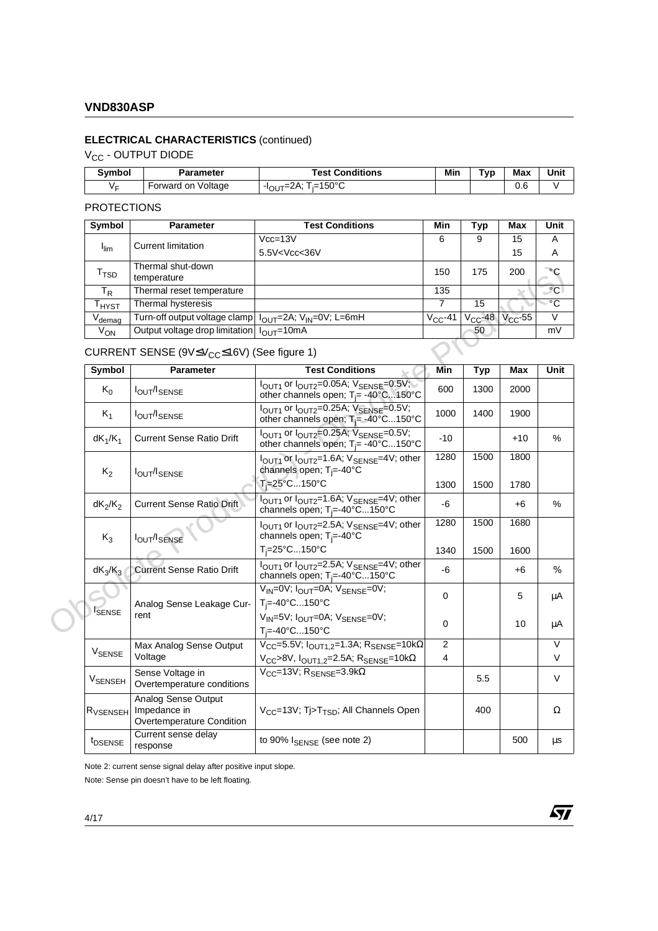# **ELECTRICAL CHARACTERISTICS** (continued)

V<sub>CC</sub> - OUTPUT DIODE

| Svmbol | Parameter          | <b>Fest Conditions</b>   | Min | ivp | Max      | Unit |
|--------|--------------------|--------------------------|-----|-----|----------|------|
| Vс     | Forward on Voltage | :150°C<br>$\sim$<br>-lor |     |     | ⌒<br>v.u |      |

## PROTECTIONS

| Symbol                                                     | <b>Parameter</b>                                      | <b>Test Conditions</b>                                                  | Min          | Typ          | <b>Max</b>   | Unit         |
|------------------------------------------------------------|-------------------------------------------------------|-------------------------------------------------------------------------|--------------|--------------|--------------|--------------|
|                                                            | <b>Current limitation</b>                             | $Vcc = 13V$                                                             | 6            | 9            | 15           | A            |
| $I_{\text{lim}}$                                           |                                                       | 5.5V <vcc<36v< td=""><td></td><td></td><td>15</td><td>A</td></vcc<36v<> |              |              | 15           | A            |
| T <sub>TSD</sub>                                           | Thermal shut-down<br>temperature                      |                                                                         | 150          | 175          | 200          |              |
| $T_R$                                                      | Thermal reset temperature                             |                                                                         | 135          |              |              | $^{\circ}$ C |
| $\mathsf{r}_{\mathsf{H} \mathsf{Y} \mathsf{S} \mathsf{T}}$ | Thermal hysteresis                                    |                                                                         |              | 15           |              | $^{\circ}$ C |
| $V_{\text{demag}}$                                         | Turn-off output voltage clamp                         | $I_{\text{OUT}}$ =2A; V <sub>IN</sub> =0V; L=6mH                        | $V_{CC}$ -41 | $V_{CC}$ -48 | $V_{CC}$ -55 | V            |
| $V_{ON}$                                                   | Output voltage drop limitation $I_{\text{OUT}}$ =10mA |                                                                         |              | 50           |              | mV           |

# $CURRENT$  SENSE (9V $\leq$ V<sub>CC</sub> $\leq$ 16V) (See figure 1)

| T <sub>TSD</sub>     | Thermal shut-down<br>temperature                                 |                                                                                                                              | 150            | 175          | 200          | $\circ$ C               |
|----------------------|------------------------------------------------------------------|------------------------------------------------------------------------------------------------------------------------------|----------------|--------------|--------------|-------------------------|
| $T_R$                | Thermal reset temperature                                        |                                                                                                                              | 135            |              |              | $\overline{C}$          |
| $T_{H YST}$          | Thermal hysteresis                                               |                                                                                                                              | $\overline{7}$ | 15           |              | $\overline{C}$          |
| $V_{\text{demag}}$   | Turn-off output voltage clamp                                    | $I_{\text{OUT}}=2A; V_{\text{IN}}=0V; L=6mH$                                                                                 | $V_{CC}$ -41   | $V_{CC}$ -48 | $V_{CC}$ -55 | $\overline{\mathsf{v}}$ |
| $V_{ON}$             | Output voltage drop limitation                                   | $I_{\text{OUT}} = \overline{10mA}$                                                                                           |                | 50           |              | mV                      |
|                      | CURRENT SENSE (9V≤V <sub>CC</sub> ≤16V) (See figure 1)           |                                                                                                                              |                |              |              |                         |
| Symbol               | Parameter                                                        | <b>Test Conditions</b>                                                                                                       | <b>Min</b>     | <b>Typ</b>   | Max          | Unit                    |
| $K_0$                | <b>IOUT/ISENSE</b>                                               | $IOUT1$ or $IOUT2=0.05A$ ; $VSENSE=0.5V$ ;<br>other channels open; T <sub>j</sub> = -40°C150°C                               | 600            | 1300         | 2000         |                         |
| $K_1$                | <b>IOUT/ISENSE</b>                                               | $IOUT1$ or $IOUT2=0.25A$ ; $VSENSE=0.5V$ ;<br>other channels open; $T_i = -40^{\circ}$ C150°C                                | 1000           | 1400         | 1900         |                         |
| $dK_1/K_1$           | <b>Current Sense Ratio Drift</b>                                 | l <sub>OUT1</sub> or l <sub>OUT2</sub> =0.25A; V <sub>SENSE</sub> =0.5V;<br>other channels open; T <sub>i</sub> = -40°C150°C | $-10$          |              | $+10$        | $\%$                    |
| $K_2$                | <b>IOUT/ISENSE</b>                                               | IOUT1 Or IOUT2=1.6A; VSENSE=4V; other<br>channels open; T <sub>j</sub> =-40°C                                                | 1280           | 1500         | 1800         |                         |
|                      |                                                                  | T <sub>i</sub> =25°C150°C                                                                                                    | 1300           | 1500         | 1780         |                         |
| $dK_2/K_2$           | <b>Current Sense Ratio Drift</b>                                 | I <sub>OUT1</sub> or I <sub>OUT2</sub> =1.6A; V <sub>SENSE</sub> =4V; other<br>channels open; T <sub>i</sub> =-40°C150°C     | $-6$           |              | $+6$         | $\%$                    |
| $K_3$                | <b>IOUT/ISENSE</b>                                               | I <sub>OUT1</sub> or I <sub>OUT2</sub> =2.5A; V <sub>SENSE</sub> =4V; other<br>channels open; $T_i = -40^\circ C$            | 1280           | 1500         | 1680         |                         |
|                      |                                                                  | $T_i = 25^{\circ}$ C150 $^{\circ}$ C                                                                                         | 1340           | 1500         | 1600         |                         |
| $dK_3/K_3$           | <b>Current Sense Ratio Drift</b>                                 | I <sub>OUT1</sub> or I <sub>OUT2</sub> =2.5A; V <sub>SENSE</sub> =4V; other<br>channels open; T <sub>i</sub> =-40°C150°C     | -6             |              | $+6$         | $\%$                    |
|                      | Analog Sense Leakage Cur-                                        | $V_{IN} = 0V$ ; $I_{OUT} = 0A$ ; $V_{SENSE} = 0V$ ;<br>$T_i = -40^{\circ}C150^{\circ}C$                                      | $\mathbf 0$    |              | 5            | μA                      |
| <b>ISENSE</b>        | rent                                                             | $V_{IN}$ =5V; $I_{OUT}$ =0A; $V_{SENSE}$ =0V;<br>$T_i = -40^{\circ}C \dots 150^{\circ}C$                                     | $\Omega$       |              | 10           | μA                      |
|                      | Max Analog Sense Output                                          | $V_{CC} = 5.5V$ ; $I_{OUT1.2} = 1.3A$ ; $R_{SENSE} = 10k\Omega$                                                              | 2              |              |              | $\vee$                  |
| V <sub>SENSE</sub>   | Voltage                                                          | $V_{CC}$ >8V, $I_{OUT1,2}=2.5A$ ; R <sub>SENSE</sub> =10k $\Omega$                                                           | 4              |              |              | $\vee$                  |
| V <sub>SENSEH</sub>  | Sense Voltage in<br>Overtemperature conditions                   | $V_{CC}$ =13V; R <sub>SENSE</sub> =3.9k $\Omega$                                                                             |                | 5.5          |              | $\vee$                  |
| R <sub>VSENSEH</sub> | Analog Sense Output<br>Impedance in<br>Overtemperature Condition | V <sub>CC</sub> =13V; Tj>T <sub>TSD</sub> ; All Channels Open                                                                |                | 400          |              | Ω                       |
| t <sub>DSENSE</sub>  | Current sense delay<br>response                                  | to 90% $I_{\text{SENSE}}$ (see note 2)                                                                                       |                |              | 500          | μs                      |

Note 2: current sense signal delay after positive input slope.

Note: Sense pin doesn't have to be left floating.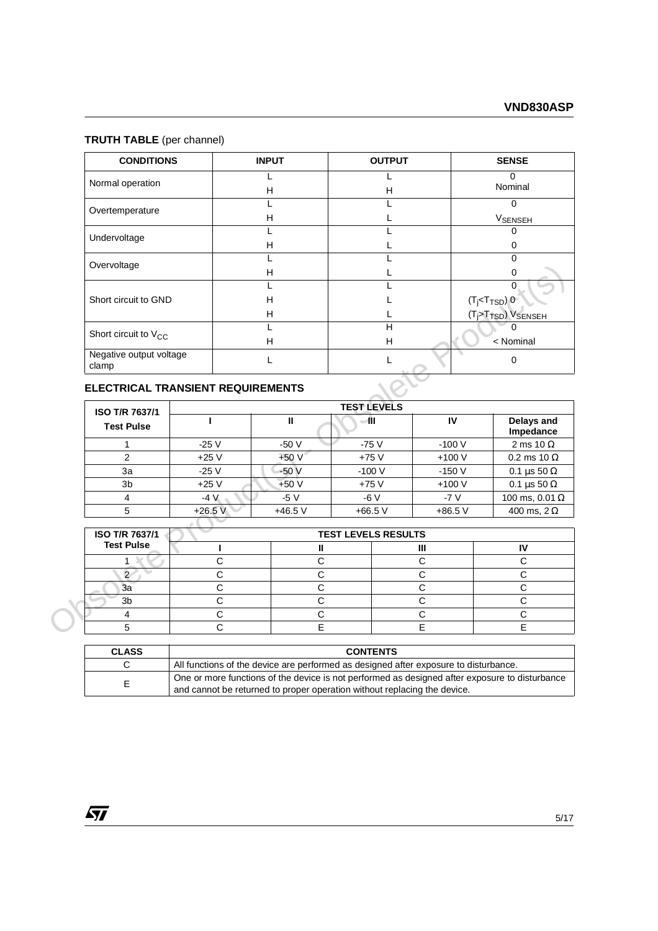# **TRUTH TABLE** (per channel)

| <b>CONDITIONS</b>                | <b>INPUT</b> | <b>OUTPUT</b> | <b>SENSE</b>              |
|----------------------------------|--------------|---------------|---------------------------|
| Normal operation                 |              |               |                           |
|                                  | н            | н             | Nominal                   |
| Overtemperature                  |              |               | 0                         |
|                                  | н            |               | <b>VSENSEH</b>            |
| Undervoltage                     |              |               | ∩                         |
|                                  | н            |               | O                         |
| Overvoltage                      |              |               | $\Omega$                  |
|                                  | н            |               | 0                         |
|                                  |              |               |                           |
| Short circuit to GND             | н            |               |                           |
|                                  | H            |               | $(Tj 0 (Tj>TTSD) VSENSEH$ |
| Short circuit to $V_{CC}$        |              | н             |                           |
|                                  | н            | н             | < Nominal                 |
| Negative output voltage<br>clamp |              |               | 0                         |

# **ELECTRICAL TRANSIENT REQUIREMENTS**

| Overvoltage                              |              | н                                                                                    | L                          |             |                     | $\Omega$                                                |                         |
|------------------------------------------|--------------|--------------------------------------------------------------------------------------|----------------------------|-------------|---------------------|---------------------------------------------------------|-------------------------|
|                                          |              |                                                                                      |                            |             |                     |                                                         |                         |
| Short circuit to GND                     |              | Н                                                                                    |                            |             | $(T_j < T_{TSD})$ 0 |                                                         |                         |
|                                          |              | Η                                                                                    |                            |             |                     | (T <sub>j</sub> >T <sub>TSD</sub> ) V <sub>SENSEH</sub> |                         |
|                                          |              |                                                                                      | H                          |             |                     |                                                         |                         |
| Short circuit to $V_{CC}$                |              | H                                                                                    | н                          |             |                     | < Nominal                                               |                         |
| Negative output voltage<br>clamp         |              | L                                                                                    | L                          |             |                     | $\mathbf 0$                                             |                         |
| <b>ELECTRICAL TRANSIENT REQUIREMENTS</b> |              |                                                                                      |                            |             |                     |                                                         |                         |
| <b>ISO T/R 7637/1</b>                    |              |                                                                                      | <b>TEST LEVELS</b>         |             |                     |                                                         |                         |
| <b>Test Pulse</b>                        |              | $\mathbf{H}$                                                                         | 41                         | IV          |                     |                                                         | Delays and<br>Impedance |
| 1                                        | $-25V$       | $-50V$                                                                               | $-75V$                     | $-100V$     |                     |                                                         | 2 ms 10 $\Omega$        |
| $\overline{2}$                           | $+25V$       | $+50V$                                                                               | $+75V$                     | $+100V$     |                     |                                                         | 0.2 ms 10 $\Omega$      |
| 3a                                       | $-25V$       | $-50V$                                                                               | $-100V$                    | $-150V$     |                     |                                                         | 0.1 $\mu$ s 50 $\Omega$ |
| 3 <sub>b</sub>                           | $+25V$       | $+50V$                                                                               | $+75V$                     | $+100V$     |                     |                                                         | 0.1 $\mu$ s 50 $\Omega$ |
| 4                                        | $-4V$        | $-5V$                                                                                | $-6V$                      | $-7V$       |                     |                                                         | 100 ms, 0.01 $\Omega$   |
| 5                                        | $+26.5V$     | $+46.5$ V                                                                            | $+66.5V$                   | $+86.5V$    |                     |                                                         | 400 ms, $2 \Omega$      |
|                                          |              |                                                                                      |                            |             |                     |                                                         |                         |
| <b>ISO T/R 7637/1</b>                    |              |                                                                                      | <b>TEST LEVELS RESULTS</b> |             |                     |                                                         |                         |
| <b>Test Pulse</b>                        |              | Ш                                                                                    |                            | Ш           |                     | IV                                                      |                         |
|                                          | $\mathsf{C}$ | C                                                                                    |                            | $\mathsf C$ |                     | $\mathsf C$                                             |                         |
| $\overline{2}$                           | $\mathsf{C}$ | C                                                                                    |                            | C           |                     | $\mathsf{C}$                                            |                         |
| 3a                                       | $\mathsf{C}$ | $\mathsf{C}$                                                                         |                            | $\mathsf C$ | $\mathsf{C}$        |                                                         |                         |
| 3 <sub>b</sub>                           | $\mathsf{C}$ | C                                                                                    |                            | C           |                     | $\mathsf{C}$                                            |                         |
| 4                                        | C            | C                                                                                    |                            | C           |                     | $\mathsf{C}$                                            |                         |
| 5                                        | $\mathsf{C}$ | E                                                                                    |                            | E           |                     | E                                                       |                         |
| <b>CLASS</b>                             |              |                                                                                      | <b>CONTENTS</b>            |             |                     |                                                         |                         |
| C                                        |              | All functions of the device are performed as designed after exposure to disturbance. |                            |             |                     |                                                         |                         |
|                                          |              |                                                                                      |                            |             |                     |                                                         |                         |

| ISO T/R 7637/1    | <b>TEST LEVELS RESULTS</b> |  |  |  |  |
|-------------------|----------------------------|--|--|--|--|
| <b>Test Pulse</b> |                            |  |  |  |  |
|                   |                            |  |  |  |  |
|                   |                            |  |  |  |  |
| За                |                            |  |  |  |  |
|                   |                            |  |  |  |  |
|                   |                            |  |  |  |  |
|                   |                            |  |  |  |  |

| <b>CLASS</b> | <b>CONTENTS</b>                                                                                                                                                            |
|--------------|----------------------------------------------------------------------------------------------------------------------------------------------------------------------------|
|              | All functions of the device are performed as designed after exposure to disturbance.                                                                                       |
| F.           | One or more functions of the device is not performed as designed after exposure to disturbance<br>and cannot be returned to proper operation without replacing the device. |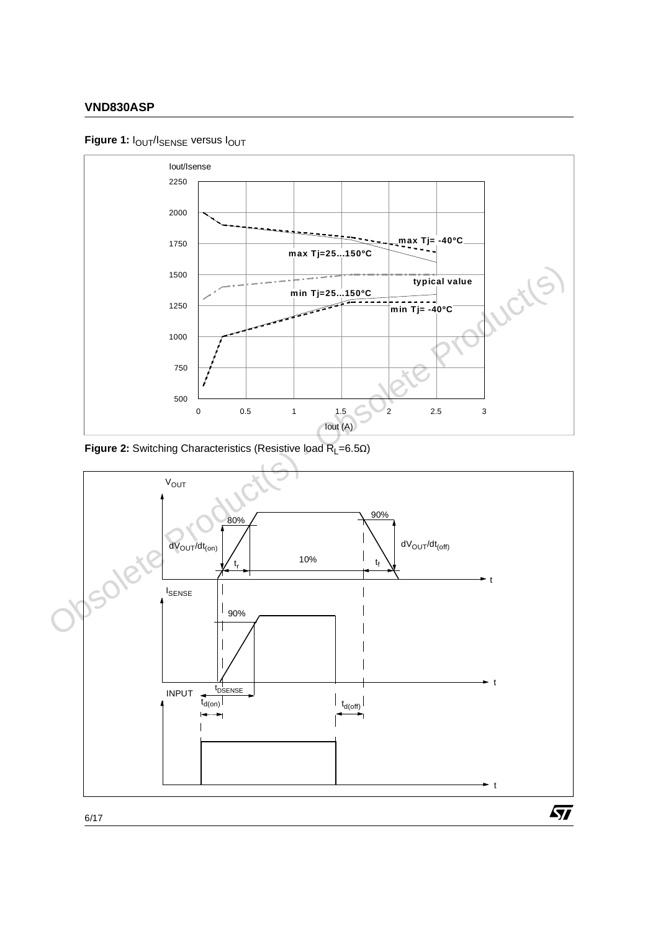# **Figure 1:**  $I_{\text{OUT}}/I_{\text{SENSE}}$  versus  $I_{\text{OUT}}$



**Figure 2:** Switching Characteristics (Resistive load R<sub>L</sub>=6.5Ω)

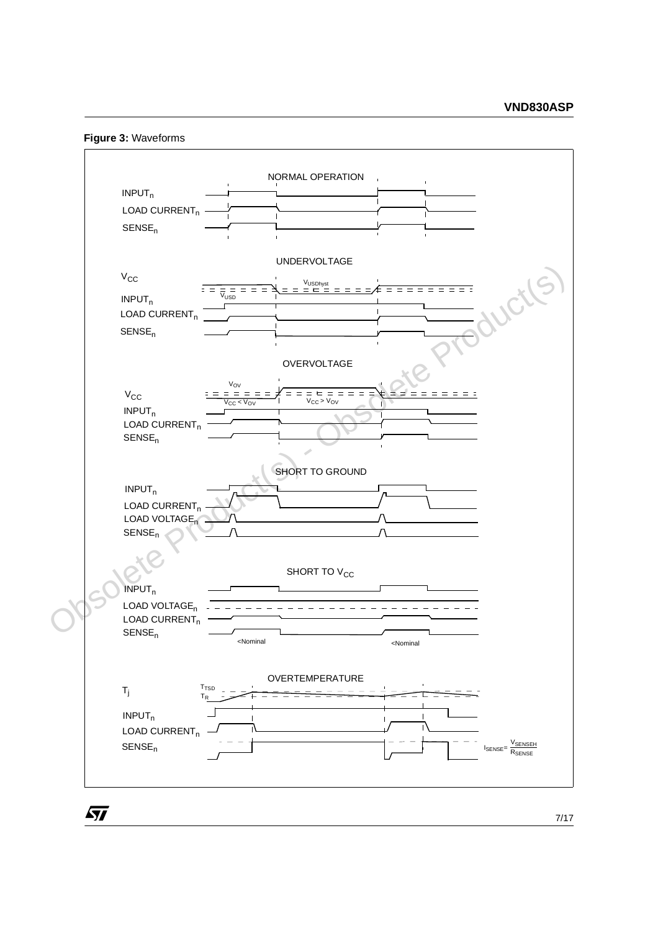**Figure 3:** Waveforms

57

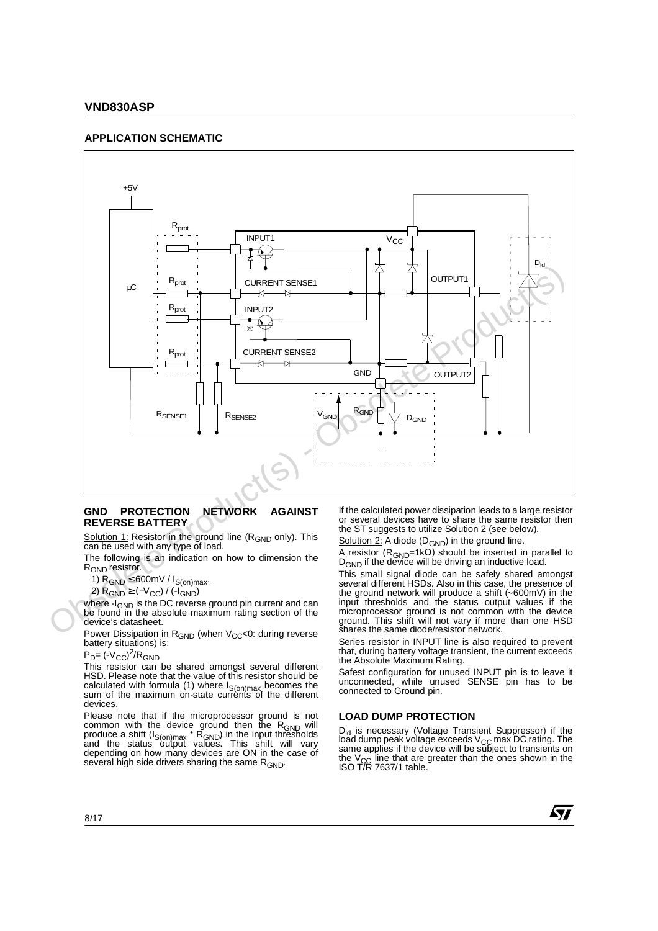#### **APPLICATION SCHEMATIC**



#### **GND PROTECTION NETWORK AGAINST REVERSE BATTERY**

Solution 1: Resistor in the ground line (R<sub>GND</sub> only). This can be used with any type of load.

The following is an indication on how to dimension the R<sub>GND</sub> resistor.

1)  $R_{GND} \leq 600$  mV /  $I_{S(on)max}$ .

2)  $R_{GND}$  ≥ (- $V_{CC}$ ) / (- $I_{GND}$ )

where -I<sub>GND</sub> is the DC reverse ground pin current and can be found in the absolute maximum rating section of the device's datasheet.

Power Dissipation in R<sub>GND</sub> (when V<sub>CC</sub><0: during reverse battery situations) is:

 $P_D$ = (- $V_{CC}$ )<sup>2</sup>/R<sub>GND</sub>

This resistor can be shared amongst several different HSD. Please note that the value of this resistor should be calculated with formula (1) where  $I_{S(on)max}$  becomes the sum of the maximum on-state currents of the different devices.

Please note that if the microprocessor ground is not common with the device ground then the R<sub>GND</sub> will produce a shift (I<sub>S(on)max</sub> \* R<sub>GND</sub>) in the input thresholds<br>and the status output values. This shift will vary depending on how many devices are ON in the case of several high side drivers sharing the same R<sub>GND</sub>.

If the calculated power dissipation leads to a large resistor or several devices have to share the same resistor then the ST suggests to utilize Solution 2 (see below).

Solution  $2$ : A diode (D<sub>GND</sub>) in the ground line.

A resistor (RGND=1kΩ) should be inserted in parallel to D<sub>GND</sub> if the device will be driving an inductive load.

This small signal diode can be safely shared amongst several different HSDs. Also in this case, the presence of the ground network will produce a shift ( $\approx 600$ mV) in the input thresholds and the status output values if the microprocessor ground is not common with the device ground. This shift will not vary if more than one HSD shares the same diode/resistor network.

Series resistor in INPUT line is also required to prevent that, during battery voltage transient, the current exceeds the Absolute Maximum Rating.

Safest configuration for unused INPUT pin is to leave it unconnected, while unused SENSE pin has to be connected to Ground pin.

#### **LOAD DUMP PROTECTION**

D<sub>ld</sub> is necessary (Voltage Transient Suppressor) if the load dump peak voltage exceeds V<sub>CC</sub> max DC rating. The<br>same applies if the device will be subject to transients on the V<sub>CC</sub> line that are greater than the ones shown in the<br>ISO T/R 7637/1 table.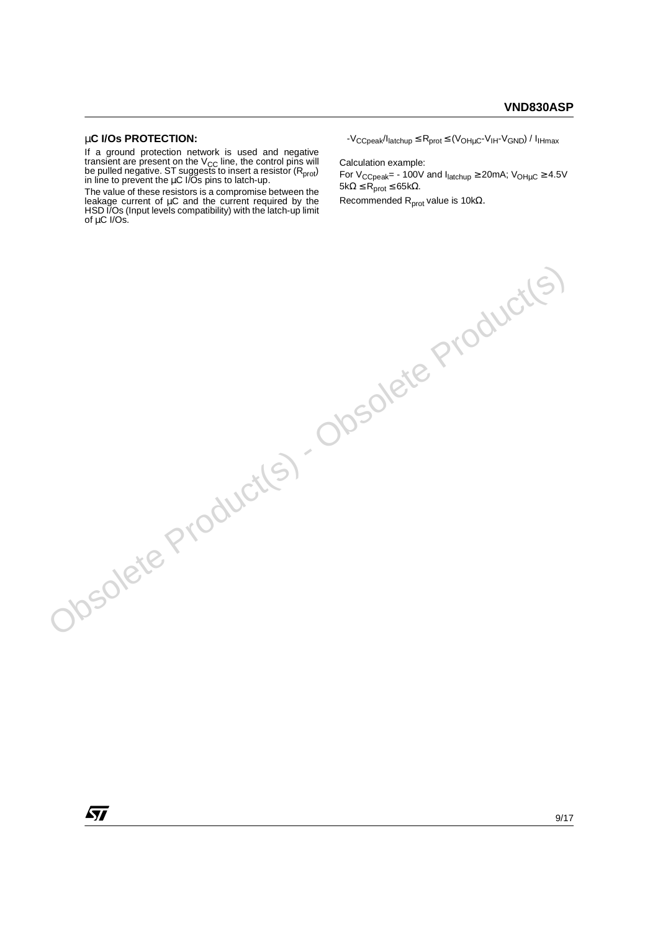## µ**C I/Os PROTECTION:**

If a ground protection network is used and negative transient are present on the  $V_{\text{CC}}$  line, the control pins will be pulled negative. ST suggest̃s to insert a resistor (R<sub>prot</sub>)<br>in line to prevent the μC I/Os pins to latch-up.

The value of these resistors is a compromise between the leakage current of µC and the current required by the HSD I/Os (Input levels compatibility) with the latch-up limit of µC I/Os. Obsolete Product(s) - Obsolete Product(s)

 $-V_{CCpeak}/I_{\text{latchup}} \leq R_{\text{prot}} \leq (V_{OH \mu C} - V_{\text{lH}} - V_{\text{GND}})/I_{\text{lHmax}}$ 

Calculation example: For  $V_{CCpeak}$  = - 100V and  $I_{\text{latchup}} \geq 20 \text{mA}$ ;  $V_{\text{OH}\mu\text{C}} \geq 4.5 \text{V}$  $5kΩ ≤ R<sub>prot</sub> ≤ 65kΩ.$ 

Recommended  $R_{prot}$  value is 10kΩ.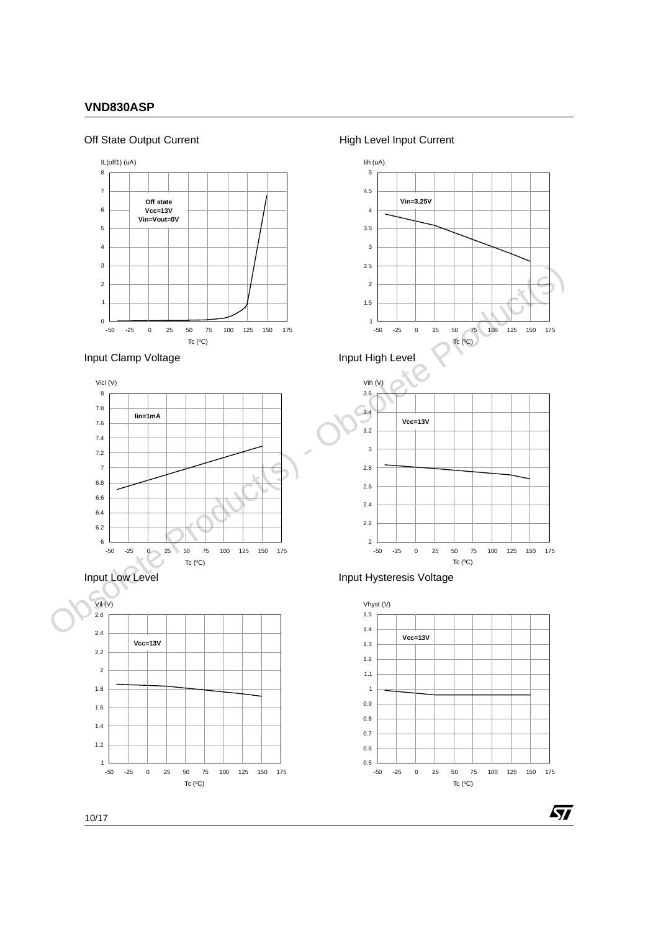# Off State Output Current













2 2.2 2.4  $2.6$ 



57

-50 -25 0 25 50 75 100 125 150 175 Tc  $(^{\circ}C)$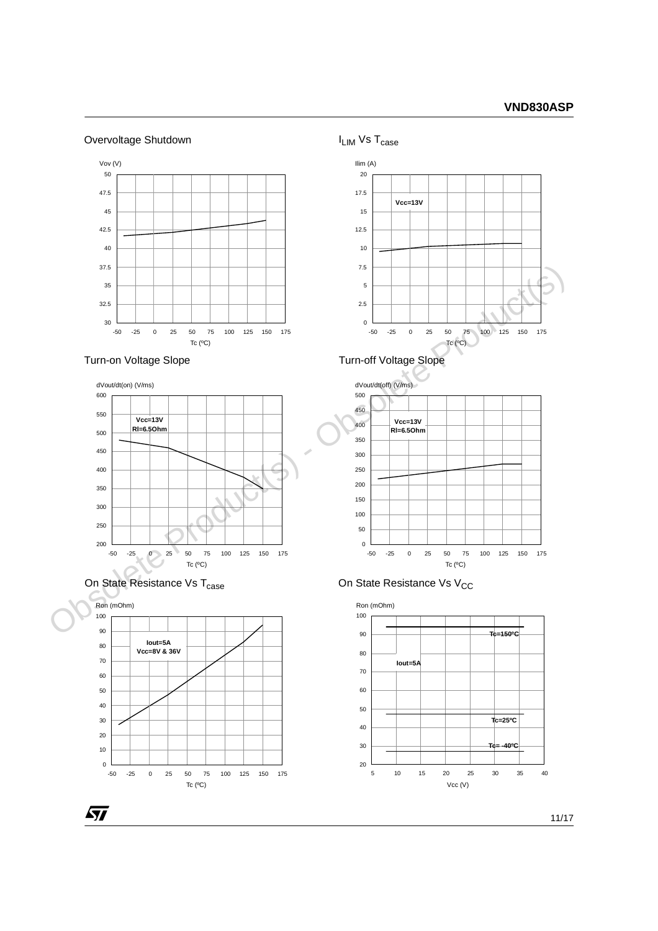# Overvoltage Shutdown



dVout/dt(on) (V/ms)







57









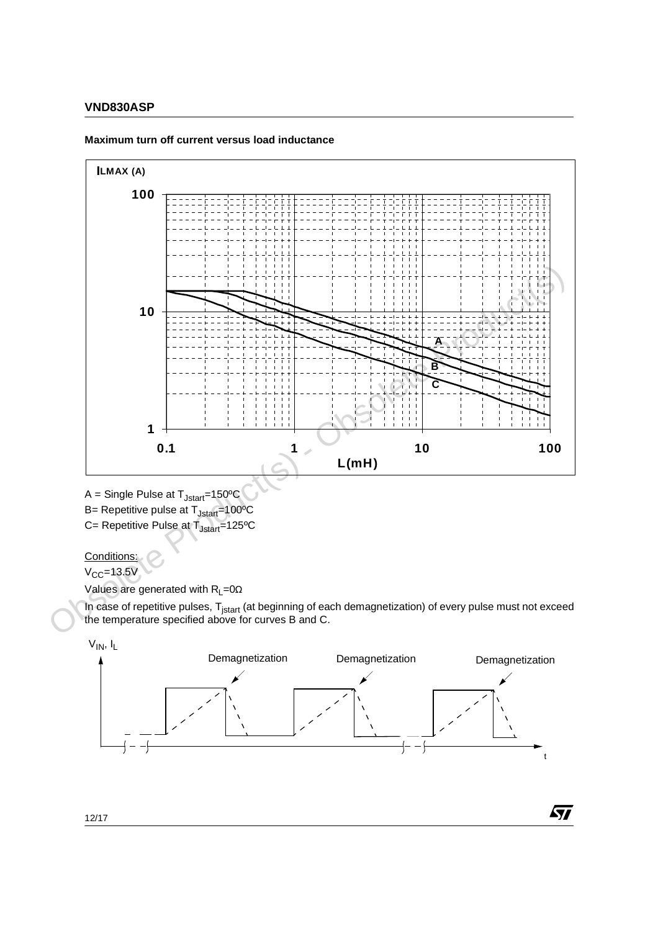

#### **Maximum turn off current versus load inductance**

$$
A = Single \text{ Pulse at } T_{Jstart} = 150^{\circ}C
$$

B= Repetitive pulse at T<sub>Jstart</sub>=100°C

 $C=$  Repetitive Pulse at  $T_{Jstart}=125^{\circ}C$ 

# Conditions:

 $V_{CC}$ =13.5V

Values are generated with  $R_L=0$  $\Omega$ 

In case of repetitive pulses, T<sub>jstart</sub> (at beginning of each demagnetization) of every pulse must not exceed the temperature specified above for curves B and C.





冈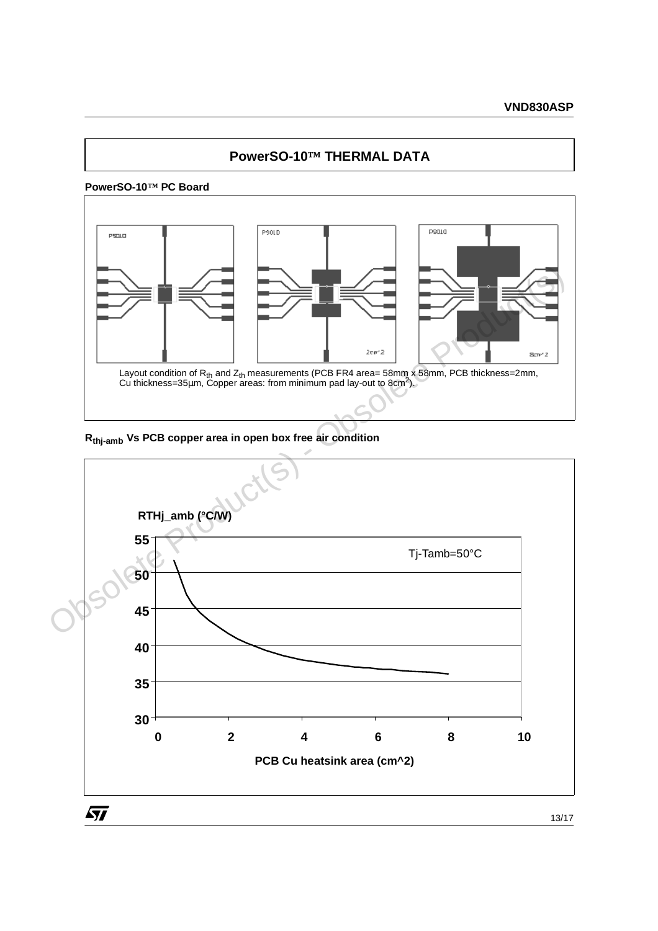# **PowerSO-10™ THERMAL DATA**

# **PowerSO-10™ PC Board**



**Rthj-amb Vs PCB copper area in open box free air condition**

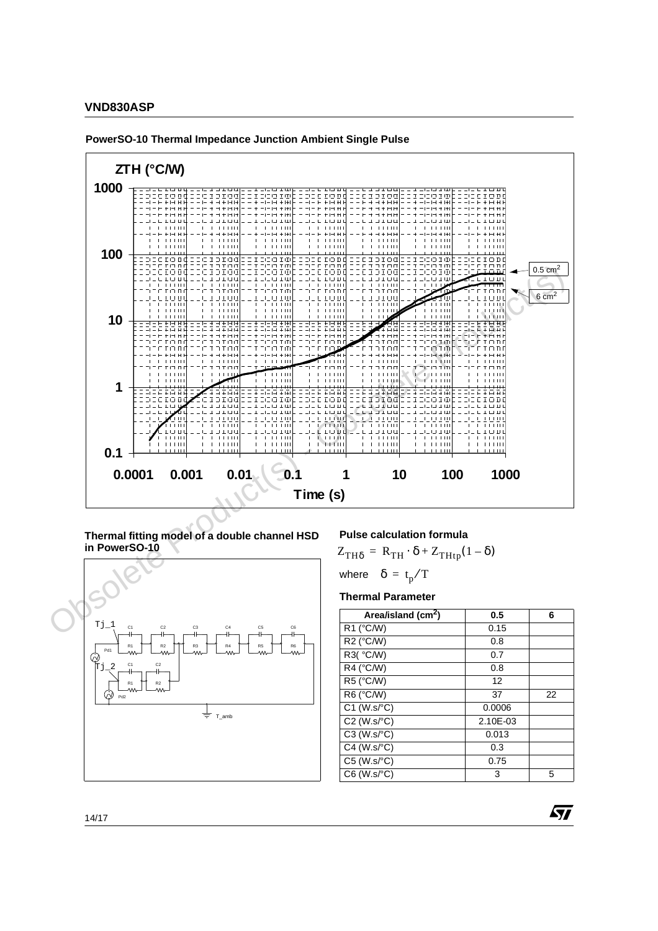

**PowerSO-10 Thermal Impedance Junction Ambient Single Pulse**

**Thermal fitting model of a double channel HSD in PowerSO-10**



#### **Pulse calculation formula**

 $Z_{TH\delta} = R_{TH} \cdot \delta + Z_{THtp} (1 - \delta)$ 

where 
$$
\delta = t_p/T
$$

**Thermal Parameter**

| Area/island (cm <sup>2</sup> ) | 0.5      | 6  |
|--------------------------------|----------|----|
| R1 (°C/W)                      | 0.15     |    |
| R2 (°C/W)                      | 0.8      |    |
| R3( °C/W)                      | 0.7      |    |
| R4 (°C/W)                      | 0.8      |    |
| R5 (°C/W)                      | 12       |    |
| R6 (°C/W)                      | 37       | 22 |
| $C1$ (W.s/ $°C$ )              | 0.0006   |    |
| $C2$ (W.s/ $°C$ )              | 2.10E-03 |    |
| $C3$ (W.s/ $°C$ )              | 0.013    |    |
| $C4$ (W.s/ $\degree$ C)        | 0.3      |    |
| $C5$ (W.s/ $\degree$ C)        | 0.75     |    |
| $C6$ (W.s/ $\degree$ C)        | 3        | 5  |

*ST*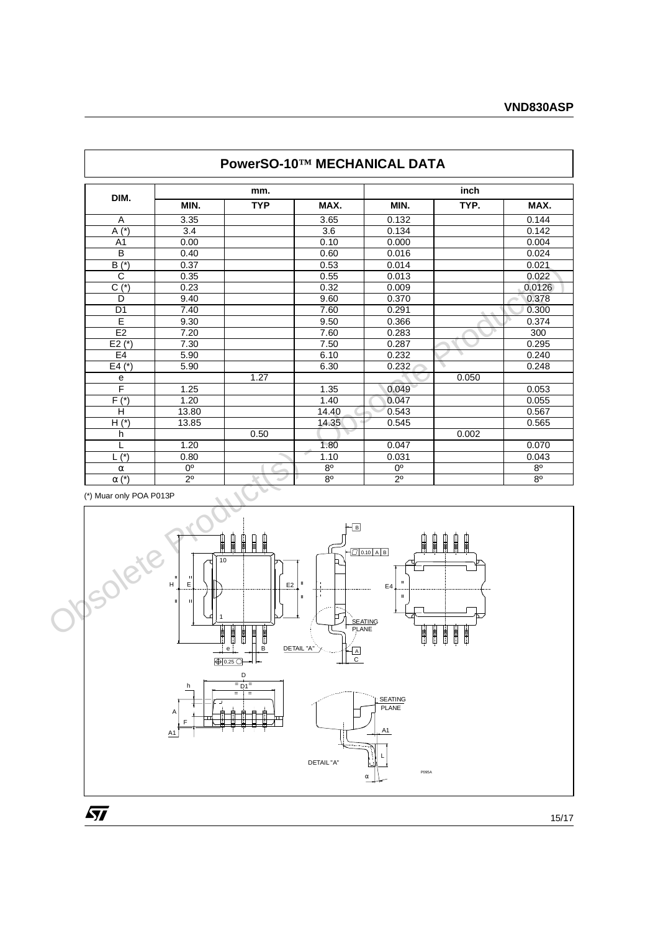| DIM.                    |                                                                      | mm.                 |                                    |                           | inch   |                |  |
|-------------------------|----------------------------------------------------------------------|---------------------|------------------------------------|---------------------------|--------|----------------|--|
|                         | MIN.                                                                 | <b>TYP</b>          | MAX.                               | MIN.                      | TYP.   | MAX.           |  |
| Α                       | 3.35                                                                 |                     | 3.65                               | 0.132                     |        | 0.144          |  |
| $A(*)$                  | 3.4                                                                  |                     | 3.6                                | 0.134                     |        | 0.142          |  |
| $\overline{A1}$         | 0.00                                                                 |                     | 0.10                               | 0.000                     |        | 0.004          |  |
| $\overline{B}$          | 0.40                                                                 |                     | 0.60                               | 0.016                     |        | 0.024          |  |
| $\overline{B(*)}$       | 0.37                                                                 |                     | 0.53                               | 0.014                     |        | 0.021          |  |
| $\overline{C}$          | 0.35                                                                 |                     | 0.55                               | 0.013                     |        | 0.022          |  |
| $C(*)$                  | 0.23                                                                 |                     | 0.32                               | 0.009                     |        | 0.0126         |  |
| D                       | 9.40                                                                 |                     | 9.60                               | 0.370                     |        | 0.378          |  |
| D <sub>1</sub>          | 7.40                                                                 |                     | 7.60                               | 0.291                     |        | 0.300          |  |
| E                       | 9.30                                                                 |                     | 9.50                               | 0.366                     |        | 0.374          |  |
| E <sub>2</sub>          | 7.20                                                                 |                     | 7.60                               | 0.283                     |        | 300            |  |
| $E2$ (*)                | 7.30                                                                 |                     | 7.50                               | 0.287                     |        | 0.295          |  |
| E4                      | 5.90                                                                 |                     | 6.10                               | 0.232                     |        | 0.240          |  |
| $E4(*)$                 | 5.90                                                                 |                     | 6.30                               | 0.232                     |        | 0.248          |  |
| ${\bf e}$               |                                                                      | 1.27                |                                    |                           | 0.050  |                |  |
| F                       | 1.25                                                                 |                     | 1.35                               | 0.049                     |        | 0.053          |  |
| $F(*)$                  | 1.20                                                                 |                     | 1.40                               | 0.047                     |        | 0.055          |  |
| H                       | 13.80                                                                |                     | 14.40                              | 0.543                     |        | 0.567          |  |
| $H*$                    | 13.85                                                                |                     | 14.35                              | 0.545                     |        | 0.565          |  |
| h                       |                                                                      | 0.50                |                                    |                           | 0.002  |                |  |
| L                       | 1.20                                                                 |                     | 1.80                               | 0.047                     |        | 0.070          |  |
| $\overline{L}$ (*)      | 0.80                                                                 |                     | 1.10                               | 0.031                     |        | 0.043          |  |
| $\alpha$                | 0 <sup>o</sup>                                                       |                     | $8^{\circ}$                        | 0°                        |        | $8^{\circ}$    |  |
| $\alpha$ (*)            | $2^{\circ}$                                                          | $\sim$              | 8 <sup>o</sup>                     | $2^{\circ}$               |        | 8 <sup>o</sup> |  |
| (*) Muar only POA P013P |                                                                      |                     |                                    |                           |        |                |  |
|                         |                                                                      | ₽<br>┋              | $\overline{\mathsf{B}}$            | $\Box$ 0.10 A B           |        |                |  |
| <b>VOSOIG</b>           | $\vert \mathbf{u} \vert$<br>$\mathbf{u}$<br>H<br>E<br>Ш<br><b>II</b> | 10<br>$\mathsf{E}2$ | b.<br>$\mathbf{u}$<br>$\mathbf{u}$ | n.<br>E4<br>$\mathbf{II}$ |        |                |  |
|                         |                                                                      | 開<br>Ū              | 了<br><b>PLANE</b>                  | <b>SEATING</b><br>Ħ       | Ħ<br>開 |                |  |

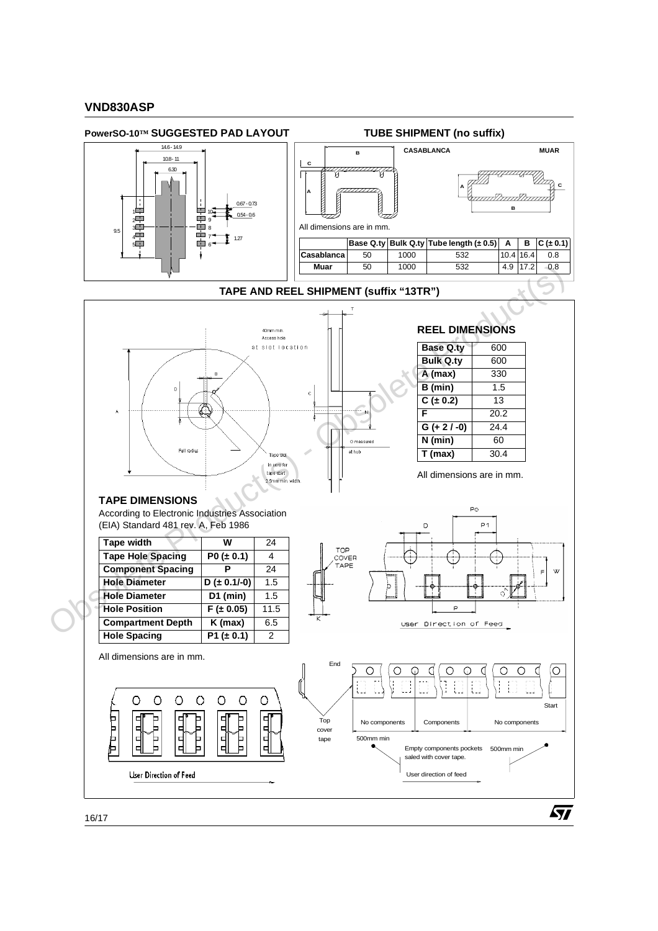

ST